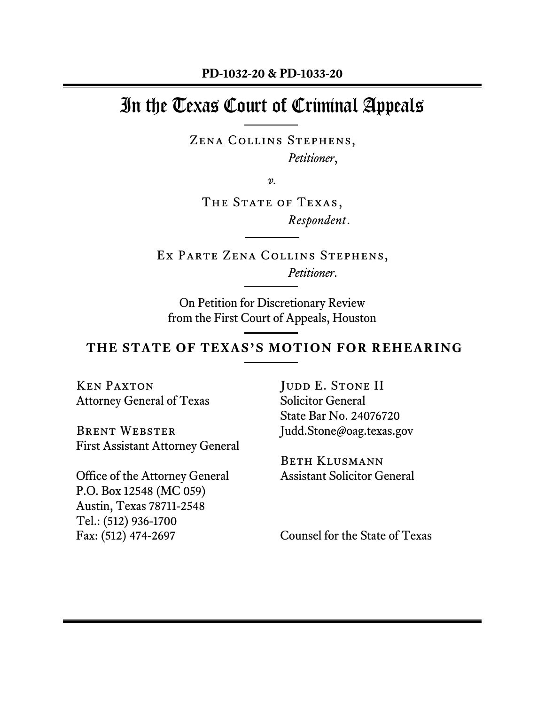# In the Texas Court of Criminal Appeals

Zena Collins Stephens, *Petitioner*,

*v.*

THE STATE OF TEXAS, *Respondent*.

Ex Parte Zena Collins Stephens, *Petitioner*.

On Petition for Discretionary Review from the First Court of Appeals, Houston

#### **THE STATE OF TEXAS'S MOTION FOR REHEARING**

Ken Paxton Attorney General of Texas

Brent Webster First Assistant Attorney General

Office of the Attorney General P.O. Box 12548 (MC 059) Austin, Texas 78711-2548 Tel.: (512) 936-1700 Fax: (512) 474-2697

JUDD E. STONE II Solicitor General State Bar No. 24076720 Judd.Stone@oag.texas.gov

Beth Klusmann Assistant Solicitor General

Counsel for the State of Texas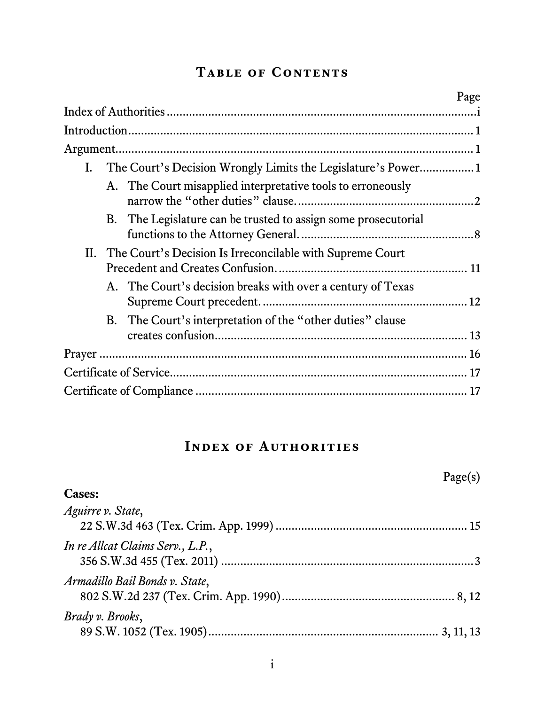## **Table of Contents**

|  |                                                                 | Page |
|--|-----------------------------------------------------------------|------|
|  |                                                                 |      |
|  |                                                                 |      |
|  | I. The Court's Decision Wrongly Limits the Legislature's Power1 |      |
|  | A. The Court misapplied interpretative tools to erroneously     |      |
|  | B. The Legislature can be trusted to assign some prosecutorial  |      |
|  | II. The Court's Decision Is Irreconcilable with Supreme Court   |      |
|  | A. The Court's decision breaks with over a century of Texas     |      |
|  | B. The Court's interpretation of the "other duties" clause      |      |
|  |                                                                 |      |
|  |                                                                 |      |
|  |                                                                 |      |

## **Index of Authorities**

<span id="page-1-0"></span>

|                                  | Page(s) |
|----------------------------------|---------|
| <b>Cases:</b>                    |         |
| Aguirre v. State,                |         |
| In re Allcat Claims Serv., L.P., |         |
| Armadillo Bail Bonds v. State,   |         |
| Brady v. Brooks,                 |         |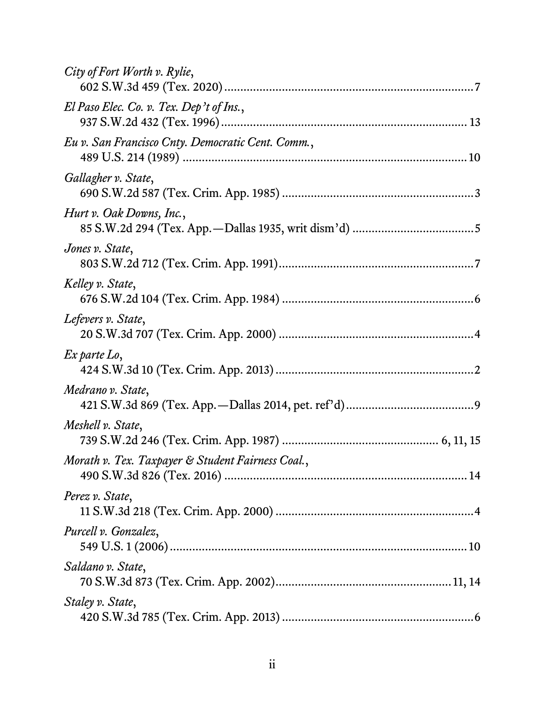| City of Fort Worth v. Rylie,                      |
|---------------------------------------------------|
| El Paso Elec. Co. v. Tex. Dep't of Ins.,          |
| Eu v. San Francisco Cnty. Democratic Cent. Comm., |
| Gallagher v. State,                               |
| Hurt v. Oak Downs, Inc.,                          |
| Jones v. State,                                   |
| Kelley v. State,                                  |
| Lefevers v. State,                                |
| Ex parte Lo,                                      |
| Medrano v. State,                                 |
| Meshell v. State,                                 |
| Morath v. Tex. Taxpayer & Student Fairness Coal., |
| Perez v. State,                                   |
| Purcell v. Gonzalez,                              |
| Saldano v. State,                                 |
| Staley v. State,                                  |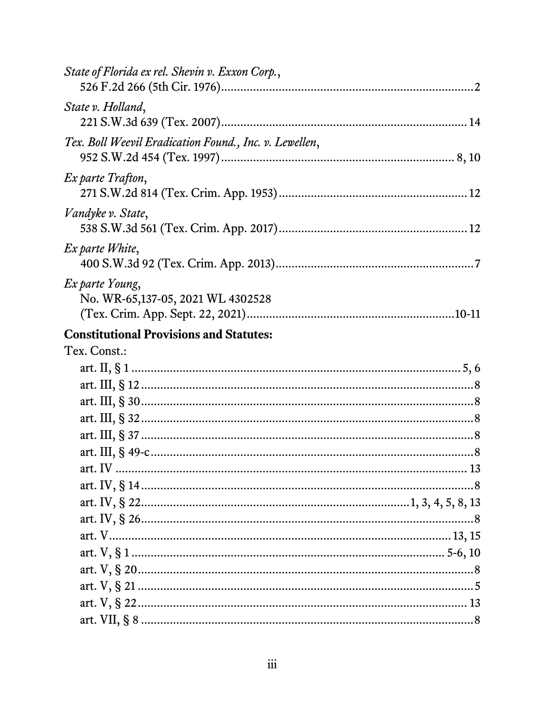| State of Florida ex rel. Shevin v. Exxon Corp.,        |  |
|--------------------------------------------------------|--|
| State v. Holland,                                      |  |
| Tex. Boll Weevil Eradication Found., Inc. v. Lewellen, |  |
| Ex parte Trafton,                                      |  |
| Vandyke v. State,                                      |  |
| Ex parte White,                                        |  |
| Ex parte Young,<br>No. WR-65,137-05, 2021 WL 4302528   |  |
| <b>Constitutional Provisions and Statutes:</b>         |  |
| Tex. Const.:                                           |  |
|                                                        |  |
|                                                        |  |
|                                                        |  |
|                                                        |  |
|                                                        |  |
|                                                        |  |
|                                                        |  |
|                                                        |  |
|                                                        |  |
|                                                        |  |
|                                                        |  |
|                                                        |  |
|                                                        |  |
|                                                        |  |
|                                                        |  |
|                                                        |  |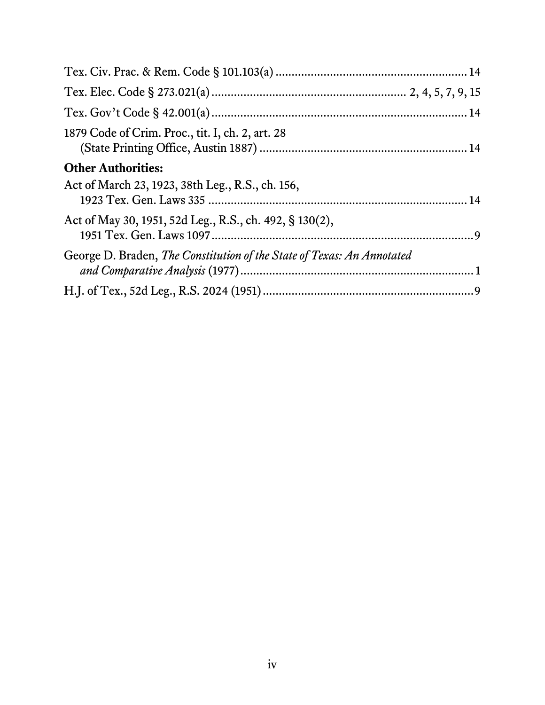| 1879 Code of Crim. Proc., tit. I, ch. 2, art. 28                       |  |
|------------------------------------------------------------------------|--|
| <b>Other Authorities:</b>                                              |  |
| Act of March 23, 1923, 38th Leg., R.S., ch. 156,                       |  |
| Act of May 30, 1951, 52d Leg., R.S., ch. 492, § 130(2),                |  |
| George D. Braden, The Constitution of the State of Texas: An Annotated |  |
|                                                                        |  |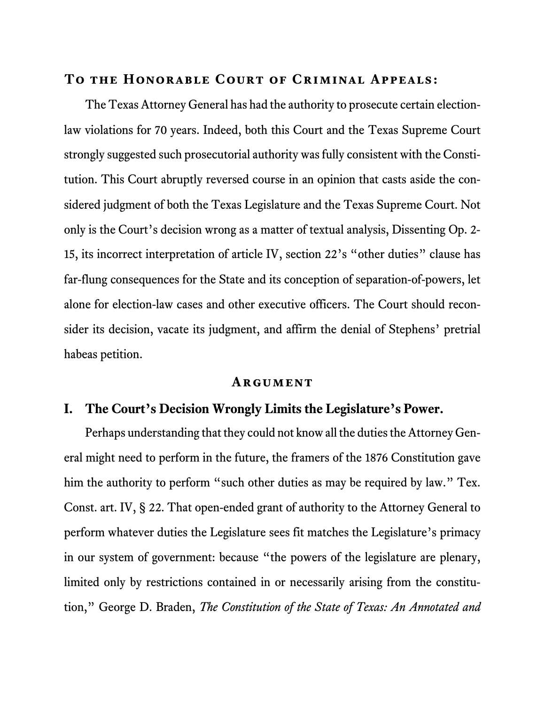#### **To the Honorable Court of Criminal Appeals:**

The Texas Attorney General has had the authority to prosecute certain electionlaw violations for 70 years. Indeed, both this Court and the Texas Supreme Court strongly suggested such prosecutorial authority was fully consistent with the Constitution. This Court abruptly reversed course in an opinion that casts aside the considered judgment of both the Texas Legislature and the Texas Supreme Court. Not only is the Court's decision wrong as a matter of textual analysis, Dissenting Op. 2- 15, its incorrect interpretation of article IV, section 22's "other duties" clause has far-flung consequences for the State and its conception of separation-of-powers, let alone for election-law cases and other executive officers. The Court should reconsider its decision, vacate its judgment, and affirm the denial of Stephens' pretrial habeas petition.

#### <span id="page-5-2"></span>**Argument**

#### <span id="page-5-1"></span><span id="page-5-0"></span>**I. The Court's Decision Wrongly Limits the Legislature's Power.**

<span id="page-5-3"></span>Perhaps understanding that they could not know all the duties the Attorney General might need to perform in the future, the framers of the 1876 Constitution gave him the authority to perform "such other duties as may be required by law." Tex. Const. art. IV, § 22. That open-ended grant of authority to the Attorney General to perform whatever duties the Legislature sees fit matches the Legislature's primacy in our system of government: because "the powers of the legislature are plenary, limited only by restrictions contained in or necessarily arising from the constitution," George D. Braden, *The Constitution of the State of Texas: An Annotated and*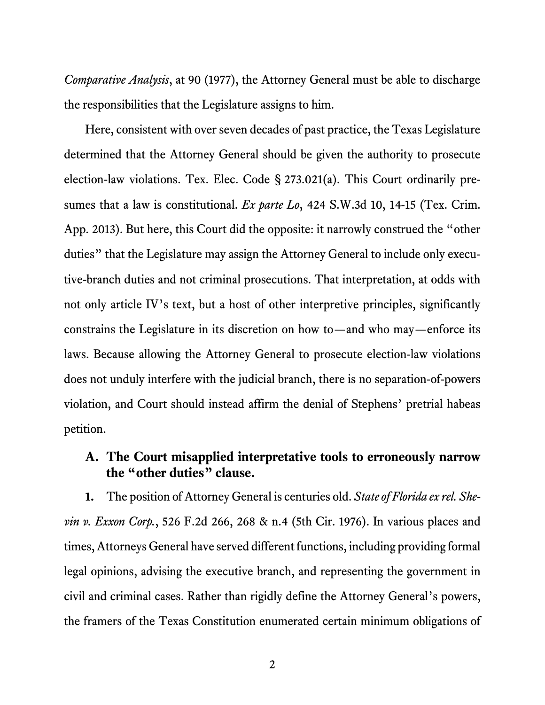*Comparative Analysis*, at 90 (1977), the Attorney General must be able to discharge the responsibilities that the Legislature assigns to him.

<span id="page-6-3"></span><span id="page-6-1"></span>Here, consistent with over seven decades of past practice, the Texas Legislature determined that the Attorney General should be given the authority to prosecute election-law violations. Tex. Elec. Code § 273.021(a). This Court ordinarily presumes that a law is constitutional. *Ex parte Lo*, 424 S.W.3d 10, 14-15 (Tex. Crim. App. 2013). But here, this Court did the opposite: it narrowly construed the "other duties" that the Legislature may assign the Attorney General to include only executive-branch duties and not criminal prosecutions. That interpretation, at odds with not only article IV's text, but a host of other interpretive principles, significantly constrains the Legislature in its discretion on how to—and who may—enforce its laws. Because allowing the Attorney General to prosecute election-law violations does not unduly interfere with the judicial branch, there is no separation-of-powers violation, and Court should instead affirm the denial of Stephens' pretrial habeas petition.

## <span id="page-6-2"></span><span id="page-6-0"></span>**A. The Court misapplied interpretative tools to erroneously narrow the "other duties" clause.**

**1.** The position of Attorney General is centuries old. *State of Florida ex rel. Shevin v. Exxon Corp.*, 526 F.2d 266, 268 & n.4 (5th Cir. 1976). In various places and times, Attorneys General have served different functions, including providing formal legal opinions, advising the executive branch, and representing the government in civil and criminal cases. Rather than rigidly define the Attorney General's powers, the framers of the Texas Constitution enumerated certain minimum obligations of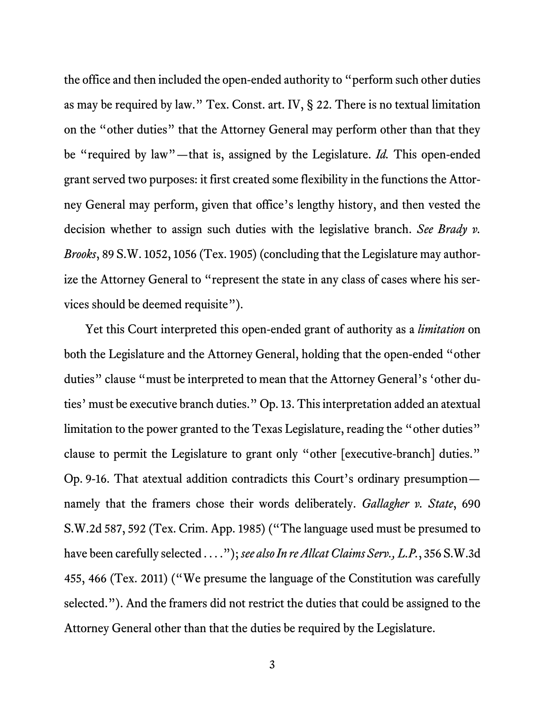<span id="page-7-3"></span>the office and then included the open-ended authority to "perform such other duties as may be required by law." Tex. Const. art. IV, § 22. There is no textual limitation on the "other duties" that the Attorney General may perform other than that they be "required by law"—that is, assigned by the Legislature. *Id.* This open-ended grant served two purposes: it first created some flexibility in the functions the Attorney General may perform, given that office's lengthy history, and then vested the decision whether to assign such duties with the legislative branch. *See Brady v. Brooks*, 89 S.W. 1052, 1056 (Tex. 1905) (concluding that the Legislature may authorize the Attorney General to "represent the state in any class of cases where his services should be deemed requisite").

<span id="page-7-2"></span><span id="page-7-1"></span><span id="page-7-0"></span>Yet this Court interpreted this open-ended grant of authority as a *limitation* on both the Legislature and the Attorney General, holding that the open-ended "other duties" clause "must be interpreted to mean that the Attorney General's 'other duties' must be executive branch duties." Op. 13. This interpretation added an atextual limitation to the power granted to the Texas Legislature, reading the "other duties" clause to permit the Legislature to grant only "other [executive-branch] duties." Op. 9-16. That atextual addition contradicts this Court's ordinary presumption namely that the framers chose their words deliberately. *Gallagher v. State*, 690 S.W.2d 587, 592 (Tex. Crim. App. 1985) ("The language used must be presumed to have been carefully selected . . . ."); *see also In re Allcat Claims Serv., L.P.*, 356 S.W.3d 455, 466 (Tex. 2011) ("We presume the language of the Constitution was carefully selected."). And the framers did not restrict the duties that could be assigned to the Attorney General other than that the duties be required by the Legislature.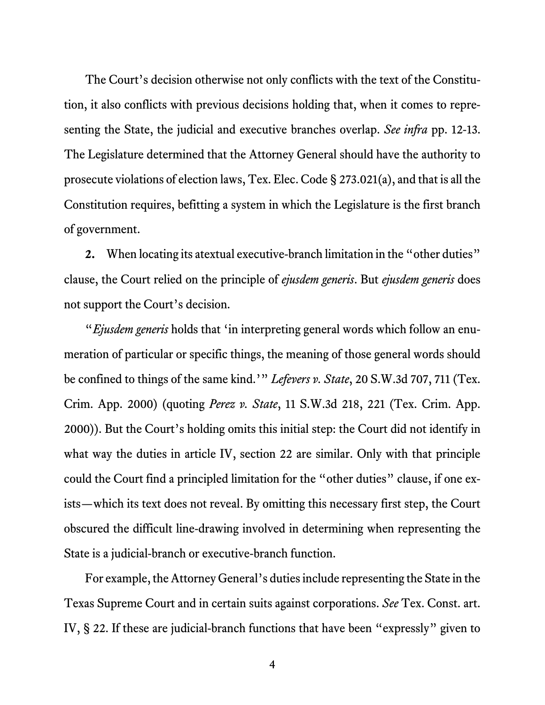The Court's decision otherwise not only conflicts with the text of the Constitution, it also conflicts with previous decisions holding that, when it comes to representing the State, the judicial and executive branches overlap. *See infra* pp. 12-13. The Legislature determined that the Attorney General should have the authority to prosecute violations of election laws, Tex. Elec. Code § 273.021(a), and that is all the Constitution requires, befitting a system in which the Legislature is the first branch of government.

<span id="page-8-3"></span>**2.** When locating its atextual executive-branch limitation in the "other duties" clause, the Court relied on the principle of *ejusdem generis*. But *ejusdem generis* does not support the Court's decision.

<span id="page-8-2"></span><span id="page-8-1"></span><span id="page-8-0"></span>"*Ejusdem generis* holds that 'in interpreting general words which follow an enumeration of particular or specific things, the meaning of those general words should be confined to things of the same kind.'" *Lefevers v. State*, 20 S.W.3d 707, 711 (Tex. Crim. App. 2000) (quoting *Perez v. State*, 11 S.W.3d 218, 221 (Tex. Crim. App. 2000)). But the Court's holding omits this initial step: the Court did not identify in what way the duties in article IV, section 22 are similar. Only with that principle could the Court find a principled limitation for the "other duties" clause, if one exists—which its text does not reveal. By omitting this necessary first step, the Court obscured the difficult line-drawing involved in determining when representing the State is a judicial-branch or executive-branch function.

For example, the Attorney General's duties include representing the State in the Texas Supreme Court and in certain suits against corporations. *See* Tex. Const. art. IV, § 22. If these are judicial-branch functions that have been "expressly" given to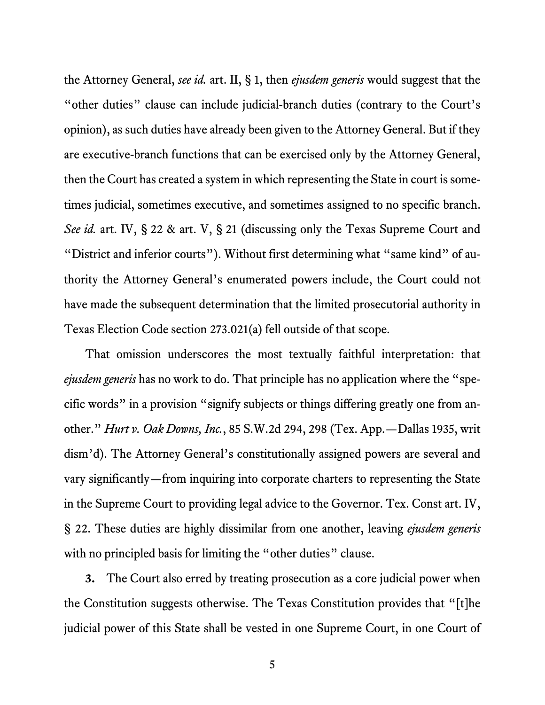<span id="page-9-1"></span>the Attorney General, *see id.* art. II, § 1, then *ejusdem generis* would suggest that the "other duties" clause can include judicial-branch duties (contrary to the Court's opinion), as such duties have already been given to the Attorney General. But if they are executive-branch functions that can be exercised only by the Attorney General, then the Court has created a system in which representing the State in court is sometimes judicial, sometimes executive, and sometimes assigned to no specific branch. *See id.* art. IV, § 22 & art. V, § 21 (discussing only the Texas Supreme Court and "District and inferior courts"). Without first determining what "same kind" of authority the Attorney General's enumerated powers include, the Court could not have made the subsequent determination that the limited prosecutorial authority in Texas Election Code section 273.021(a) fell outside of that scope.

<span id="page-9-4"></span><span id="page-9-3"></span><span id="page-9-2"></span><span id="page-9-0"></span>That omission underscores the most textually faithful interpretation: that *ejusdem generis* has no work to do. That principle has no application where the "specific words" in a provision "signify subjects or things differing greatly one from another." *Hurt v. Oak Downs, Inc.*, 85 S.W.2d 294, 298 (Tex. App.—Dallas 1935, writ dism'd). The Attorney General's constitutionally assigned powers are several and vary significantly—from inquiring into corporate charters to representing the State in the Supreme Court to providing legal advice to the Governor. Tex. Const art. IV, § 22. These duties are highly dissimilar from one another, leaving *ejusdem generis* with no principled basis for limiting the "other duties" clause.

**3.** The Court also erred by treating prosecution as a core judicial power when the Constitution suggests otherwise. The Texas Constitution provides that "[t]he judicial power of this State shall be vested in one Supreme Court, in one Court of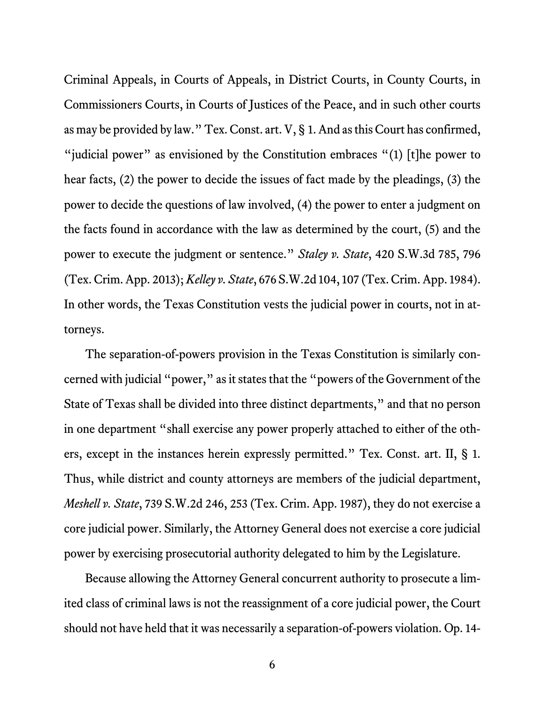<span id="page-10-4"></span>Criminal Appeals, in Courts of Appeals, in District Courts, in County Courts, in Commissioners Courts, in Courts of Justices of the Peace, and in such other courts as may be provided by law." Tex. Const. art. V, § 1. And as this Court has confirmed, "judicial power" as envisioned by the Constitution embraces " $(1)$  [t]he power to hear facts, (2) the power to decide the issues of fact made by the pleadings, (3) the power to decide the questions of law involved, (4) the power to enter a judgment on the facts found in accordance with the law as determined by the court, (5) and the power to execute the judgment or sentence." *Staley v. State*, 420 S.W.3d 785, 796 (Tex. Crim. App. 2013); *Kelley v. State*, 676 S.W.2d 104, 107 (Tex. Crim. App. 1984). In other words, the Texas Constitution vests the judicial power in courts, not in attorneys.

<span id="page-10-3"></span><span id="page-10-2"></span><span id="page-10-0"></span>The separation-of-powers provision in the Texas Constitution is similarly concerned with judicial "power," as it states that the "powers of the Government of the State of Texas shall be divided into three distinct departments," and that no person in one department "shall exercise any power properly attached to either of the others, except in the instances herein expressly permitted." Tex. Const. art. II, § 1. Thus, while district and county attorneys are members of the judicial department, *Meshell v. State*, 739 S.W.2d 246, 253 (Tex. Crim. App. 1987), they do not exercise a core judicial power. Similarly, the Attorney General does not exercise a core judicial power by exercising prosecutorial authority delegated to him by the Legislature.

<span id="page-10-1"></span>Because allowing the Attorney General concurrent authority to prosecute a limited class of criminal laws is not the reassignment of a core judicial power, the Court should not have held that it was necessarily a separation-of-powers violation. Op. 14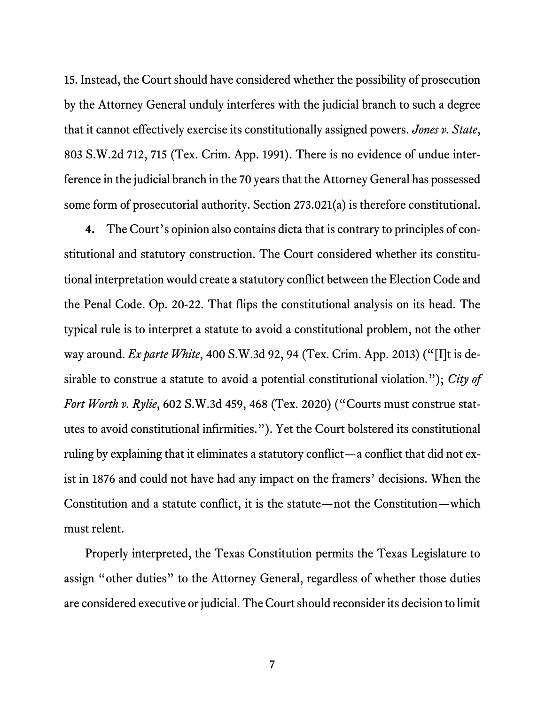<span id="page-11-1"></span>15. Instead, the Court should have considered whether the possibility of prosecution by the Attorney General unduly interferes with the judicial branch to such a degree that it cannot effectively exercise its constitutionally assigned powers. *Jones v. State*, 803 S.W.2d 712, 715 (Tex. Crim. App. 1991). There is no evidence of undue interference in the judicial branch in the 70 years that the Attorney General has possessed some form of prosecutorial authority. Section 273.021(a) is therefore constitutional.

<span id="page-11-3"></span><span id="page-11-2"></span><span id="page-11-0"></span>**4.** The Court's opinion also contains dicta that is contrary to principles of constitutional and statutory construction. The Court considered whether its constitutional interpretation would create a statutory conflict between the Election Code and the Penal Code. Op. 20-22. That flips the constitutional analysis on its head. The typical rule is to interpret a statute to avoid a constitutional problem, not the other way around. *Ex parte White*, 400 S.W.3d 92, 94 (Tex. Crim. App. 2013) ("[I]t is desirable to construe a statute to avoid a potential constitutional violation."); *City of Fort Worth v. Rylie*, 602 S.W.3d 459, 468 (Tex. 2020) ("Courts must construe statutes to avoid constitutional infirmities."). Yet the Court bolstered its constitutional ruling by explaining that it eliminates a statutory conflict—a conflict that did not exist in 1876 and could not have had any impact on the framers' decisions. When the Constitution and a statute conflict, it is the statute—not the Constitution—which must relent.

Properly interpreted, the Texas Constitution permits the Texas Legislature to assign "other duties" to the Attorney General, regardless of whether those duties are considered executive or judicial. The Court should reconsider its decision to limit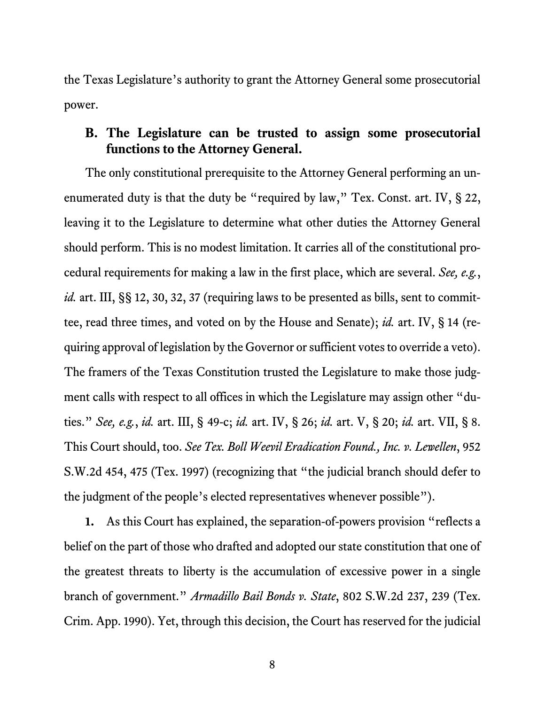the Texas Legislature's authority to grant the Attorney General some prosecutorial power.

#### <span id="page-12-6"></span><span id="page-12-5"></span><span id="page-12-0"></span>**B. The Legislature can be trusted to assign some prosecutorial functions to the Attorney General.**

<span id="page-12-3"></span>The only constitutional prerequisite to the Attorney General performing an unenumerated duty is that the duty be "required by law," Tex. Const. art. IV, § 22, leaving it to the Legislature to determine what other duties the Attorney General should perform. This is no modest limitation. It carries all of the constitutional procedural requirements for making a law in the first place, which are several. *See, e.g.*, *id.* art. III, §§ 12, 30, 32, 37 (requiring laws to be presented as bills, sent to committee, read three times, and voted on by the House and Senate); *id.* art. IV, § 14 (requiring approval of legislation by the Governor or sufficient votes to override a veto). The framers of the Texas Constitution trusted the Legislature to make those judgment calls with respect to all offices in which the Legislature may assign other "duties." *See, e.g.*, *id.* art. III, § 49-c; *id.* art. IV, § 26; *id.* art. V, § 20; *id.* art. VII, § 8. This Court should, too. *See Tex. Boll Weevil Eradication Found., Inc. v. Lewellen*, 952 S.W.2d 454, 475 (Tex. 1997) (recognizing that "the judicial branch should defer to the judgment of the people's elected representatives whenever possible").

<span id="page-12-9"></span><span id="page-12-8"></span><span id="page-12-7"></span><span id="page-12-4"></span><span id="page-12-2"></span><span id="page-12-1"></span>**1.** As this Court has explained, the separation-of-powers provision "reflects a belief on the part of those who drafted and adopted our state constitution that one of the greatest threats to liberty is the accumulation of excessive power in a single branch of government." *Armadillo Bail Bonds v. State*, 802 S.W.2d 237, 239 (Tex. Crim. App. 1990). Yet, through this decision, the Court has reserved for the judicial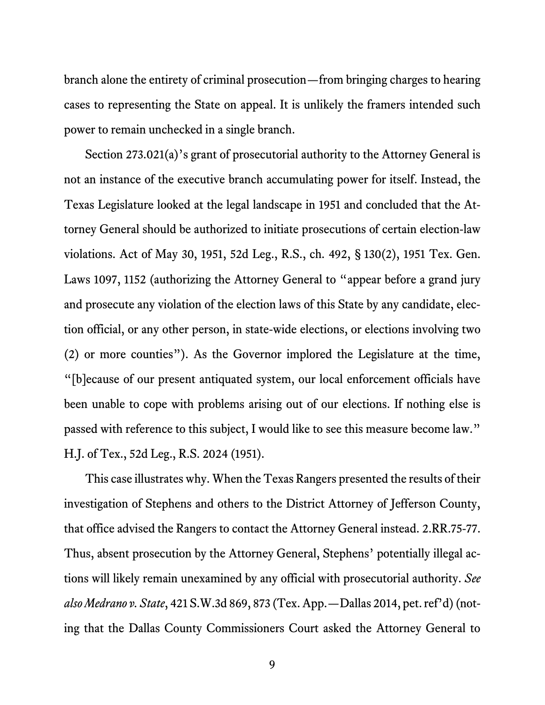branch alone the entirety of criminal prosecution—from bringing charges to hearing cases to representing the State on appeal. It is unlikely the framers intended such power to remain unchecked in a single branch.

<span id="page-13-2"></span><span id="page-13-1"></span>Section 273.021(a)'s grant of prosecutorial authority to the Attorney General is not an instance of the executive branch accumulating power for itself. Instead, the Texas Legislature looked at the legal landscape in 1951 and concluded that the Attorney General should be authorized to initiate prosecutions of certain election-law violations. Act of May 30, 1951, 52d Leg., R.S., ch. 492, § 130(2), 1951 Tex. Gen. Laws 1097, 1152 (authorizing the Attorney General to "appear before a grand jury and prosecute any violation of the election laws of this State by any candidate, election official, or any other person, in state-wide elections, or elections involving two (2) or more counties"). As the Governor implored the Legislature at the time, "[b]ecause of our present antiquated system, our local enforcement officials have been unable to cope with problems arising out of our elections. If nothing else is passed with reference to this subject, I would like to see this measure become law." H.J. of Tex., 52d Leg., R.S. 2024 (1951).

<span id="page-13-3"></span><span id="page-13-0"></span>This case illustrates why. When the Texas Rangers presented the results of their investigation of Stephens and others to the District Attorney of Jefferson County, that office advised the Rangers to contact the Attorney General instead. 2.RR.75-77. Thus, absent prosecution by the Attorney General, Stephens' potentially illegal actions will likely remain unexamined by any official with prosecutorial authority. *See also Medrano v. State*, 421 S.W.3d 869, 873 (Tex. App.—Dallas 2014, pet. ref'd)(noting that the Dallas County Commissioners Court asked the Attorney General to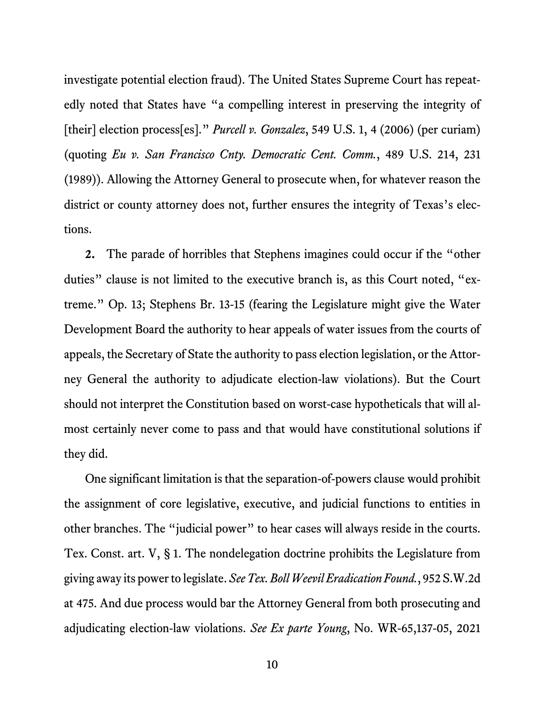<span id="page-14-1"></span><span id="page-14-0"></span>investigate potential election fraud). The United States Supreme Court has repeatedly noted that States have "a compelling interest in preserving the integrity of [their] election process[es]." *Purcell v. Gonzalez*, 549 U.S. 1, 4 (2006) (per curiam) (quoting *Eu v. San Francisco Cnty. Democratic Cent. Comm.*, 489 U.S. 214, 231 (1989)). Allowing the Attorney General to prosecute when, for whatever reason the district or county attorney does not, further ensures the integrity of Texas's elections.

**2.** The parade of horribles that Stephens imagines could occur if the "other duties" clause is not limited to the executive branch is, as this Court noted, "extreme." Op. 13; Stephens Br. 13-15 (fearing the Legislature might give the Water Development Board the authority to hear appeals of water issues from the courts of appeals, the Secretary of State the authority to pass election legislation, or the Attorney General the authority to adjudicate election-law violations). But the Court should not interpret the Constitution based on worst-case hypotheticals that will almost certainly never come to pass and that would have constitutional solutions if they did.

<span id="page-14-4"></span><span id="page-14-3"></span><span id="page-14-2"></span>One significant limitation is that the separation-of-powers clause would prohibit the assignment of core legislative, executive, and judicial functions to entities in other branches. The "judicial power" to hear cases will always reside in the courts. Tex. Const. art. V, § 1. The nondelegation doctrine prohibits the Legislature from giving away its powerto legislate. *See Tex. Boll Weevil Eradication Found.*, 952 S.W.2d at 475. And due process would bar the Attorney General from both prosecuting and adjudicating election-law violations. *See Ex parte Young*, No. WR-65,137-05, 2021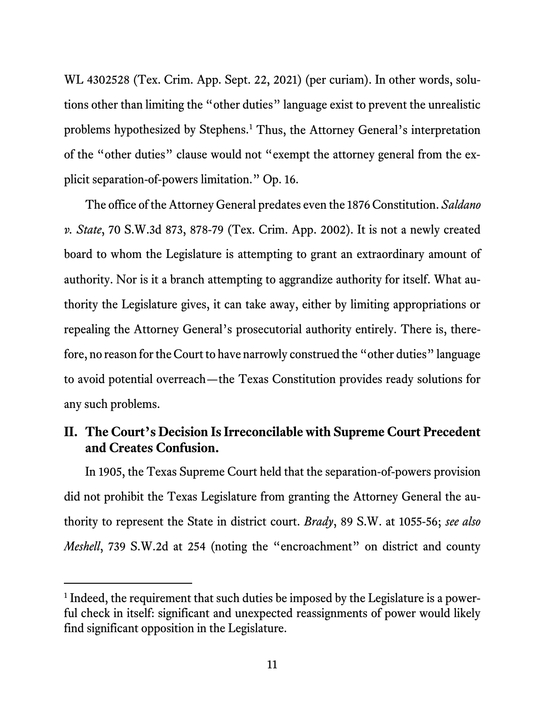WL 4302528 (Tex. Crim. App. Sept. 22, 2021) (per curiam). In other words, solutions other than limiting the "other duties" language exist to prevent the unrealistic problems hypothesized by Stephens. [1](#page-15-4) Thus, the Attorney General's interpretation of the "other duties" clause would not "exempt the attorney general from the explicit separation-of-powers limitation." Op. 16.

<span id="page-15-3"></span>The office of the Attorney General predates even the 1876 Constitution. *Saldano v. State*, 70 S.W.3d 873, 878-79 (Tex. Crim. App. 2002). It is not a newly created board to whom the Legislature is attempting to grant an extraordinary amount of authority. Nor is it a branch attempting to aggrandize authority for itself. What authority the Legislature gives, it can take away, either by limiting appropriations or repealing the Attorney General's prosecutorial authority entirely. There is, therefore, no reason for the Court to have narrowly construed the "other duties" language to avoid potential overreach—the Texas Constitution provides ready solutions for any such problems.

### <span id="page-15-0"></span>**II. The Court's Decision Is Irreconcilable with Supreme Court Precedent and Creates Confusion.**

<span id="page-15-1"></span>In 1905, the Texas Supreme Court held that the separation-of-powers provision did not prohibit the Texas Legislature from granting the Attorney General the authority to represent the State in district court. *Brady*, 89 S.W. at 1055-56; *see also Meshell*, 739 S.W.2d at 254 (noting the "encroachment" on district and county

<span id="page-15-4"></span><span id="page-15-2"></span><sup>&</sup>lt;sup>1</sup> Indeed, the requirement that such duties be imposed by the Legislature is a powerful check in itself: significant and unexpected reassignments of power would likely find significant opposition in the Legislature.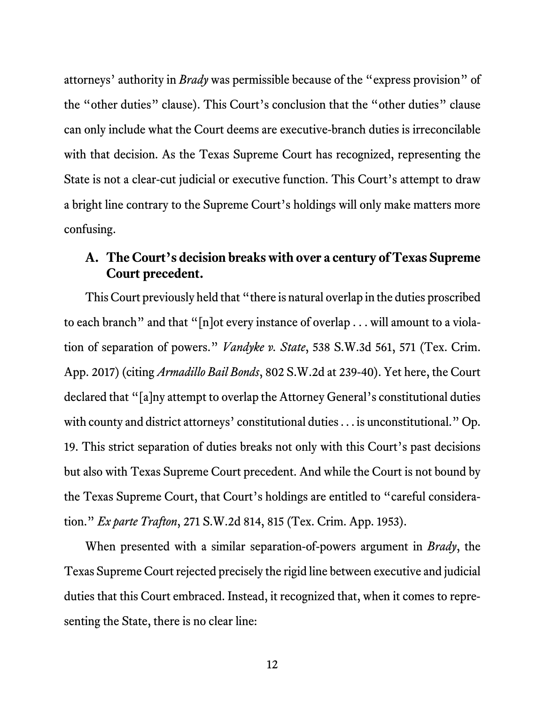attorneys' authority in *Brady* was permissible because of the "express provision" of the "other duties" clause). This Court's conclusion that the "other duties" clause can only include what the Court deems are executive-branch duties is irreconcilable with that decision. As the Texas Supreme Court has recognized, representing the State is not a clear-cut judicial or executive function. This Court's attempt to draw a bright line contrary to the Supreme Court's holdings will only make matters more confusing.

#### <span id="page-16-3"></span><span id="page-16-0"></span>**A. The Court's decision breaks with over a century of Texas Supreme Court precedent.**

<span id="page-16-1"></span>This Court previously held that "there is natural overlap in the duties proscribed to each branch" and that "[n]ot every instance of overlap . . . will amount to a violation of separation of powers." *Vandyke v. State*, 538 S.W.3d 561, 571 (Tex. Crim. App. 2017) (citing *Armadillo Bail Bonds*, 802 S.W.2d at 239-40). Yet here, the Court declared that "[a]ny attempt to overlap the Attorney General's constitutional duties with county and district attorneys' constitutional duties . . . is unconstitutional." Op. 19. This strict separation of duties breaks not only with this Court's past decisions but also with Texas Supreme Court precedent. And while the Court is not bound by the Texas Supreme Court, that Court's holdings are entitled to "careful consideration." *Ex parte Trafton*, 271 S.W.2d 814, 815 (Tex. Crim. App. 1953).

<span id="page-16-2"></span>When presented with a similar separation-of-powers argument in *Brady*, the Texas Supreme Court rejected precisely the rigid line between executive and judicial duties that this Court embraced. Instead, it recognized that, when it comes to representing the State, there is no clear line: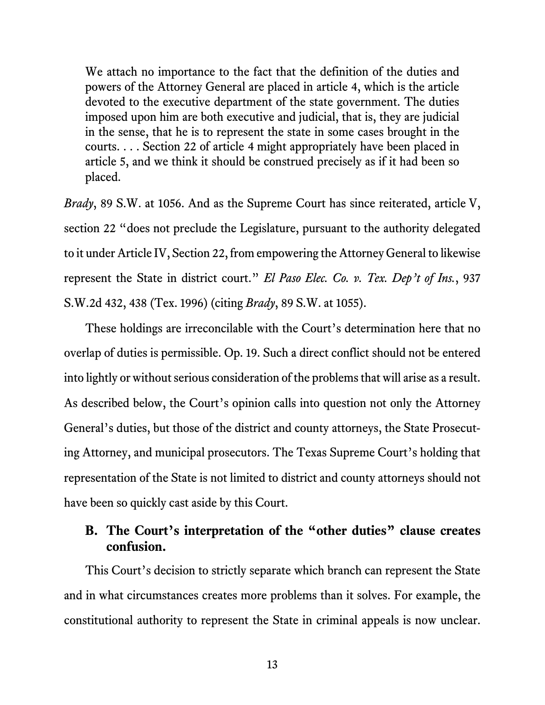<span id="page-17-6"></span><span id="page-17-4"></span><span id="page-17-3"></span>We attach no importance to the fact that the definition of the duties and powers of the Attorney General are placed in article 4, which is the article devoted to the executive department of the state government. The duties imposed upon him are both executive and judicial, that is, they are judicial in the sense, that he is to represent the state in some cases brought in the courts. . . . Section 22 of article 4 might appropriately have been placed in article 5, and we think it should be construed precisely as if it had been so placed.

<span id="page-17-5"></span><span id="page-17-1"></span>*Brady*, 89 S.W. at 1056. And as the Supreme Court has since reiterated, article V, section 22 "does not preclude the Legislature, pursuant to the authority delegated to it under Article IV, Section 22, from empowering the Attorney General to likewise represent the State in district court." *El Paso Elec. Co. v. Tex. Dep't of Ins.*, 937 S.W.2d 432, 438 (Tex. 1996) (citing *Brady*, 89 S.W. at 1055).

<span id="page-17-2"></span>These holdings are irreconcilable with the Court's determination here that no overlap of duties is permissible. Op. 19. Such a direct conflict should not be entered into lightly or without serious consideration of the problems that will arise as a result. As described below, the Court's opinion calls into question not only the Attorney General's duties, but those of the district and county attorneys, the State Prosecuting Attorney, and municipal prosecutors. The Texas Supreme Court's holding that representation of the State is not limited to district and county attorneys should not have been so quickly cast aside by this Court.

### <span id="page-17-0"></span>**B. The Court's interpretation of the "other duties" clause creates confusion.**

This Court's decision to strictly separate which branch can represent the State and in what circumstances creates more problems than it solves. For example, the constitutional authority to represent the State in criminal appeals is now unclear.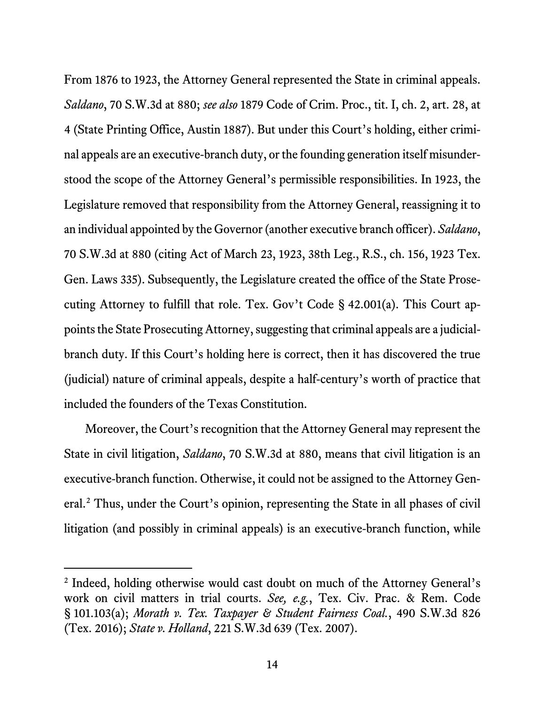<span id="page-18-6"></span><span id="page-18-5"></span><span id="page-18-1"></span>From 1876 to 1923, the Attorney General represented the State in criminal appeals. *Saldano*, 70 S.W.3d at 880; *see also* 1879 Code of Crim. Proc., tit. I, ch. 2, art. 28, at 4 (State Printing Office, Austin 1887). But under this Court's holding, either criminal appeals are an executive-branch duty, or the founding generation itself misunderstood the scope of the Attorney General's permissible responsibilities. In 1923, the Legislature removed that responsibility from the Attorney General, reassigning it to an individual appointed by the Governor(another executive branch officer). *Saldano*, 70 S.W.3d at 880 (citing Act of March 23, 1923, 38th Leg., R.S., ch. 156, 1923 Tex. Gen. Laws 335). Subsequently, the Legislature created the office of the State Prosecuting Attorney to fulfill that role. Tex. Gov't Code § 42.001(a). This Court appoints the State Prosecuting Attorney, suggesting that criminal appeals are a judicialbranch duty. If this Court's holding here is correct, then it has discovered the true (judicial) nature of criminal appeals, despite a half-century's worth of practice that included the founders of the Texas Constitution.

<span id="page-18-4"></span>Moreover, the Court's recognition that the Attorney General may represent the State in civil litigation, *Saldano*, 70 S.W.3d at 880, means that civil litigation is an executive-branch function. Otherwise, it could not be assigned to the Attorney General.[2](#page-18-7) Thus, under the Court's opinion, representing the State in all phases of civil litigation (and possibly in criminal appeals) is an executive-branch function, while

<span id="page-18-7"></span><span id="page-18-3"></span><span id="page-18-2"></span><span id="page-18-0"></span><sup>&</sup>lt;sup>2</sup> Indeed, holding otherwise would cast doubt on much of the Attorney General's work on civil matters in trial courts. *See, e.g.*, Tex. Civ. Prac. & Rem. Code § 101.103(a); *Morath v. Tex. Taxpayer & Student Fairness Coal.*, 490 S.W.3d 826 (Tex. 2016); *State v. Holland*, 221 S.W.3d 639 (Tex. 2007).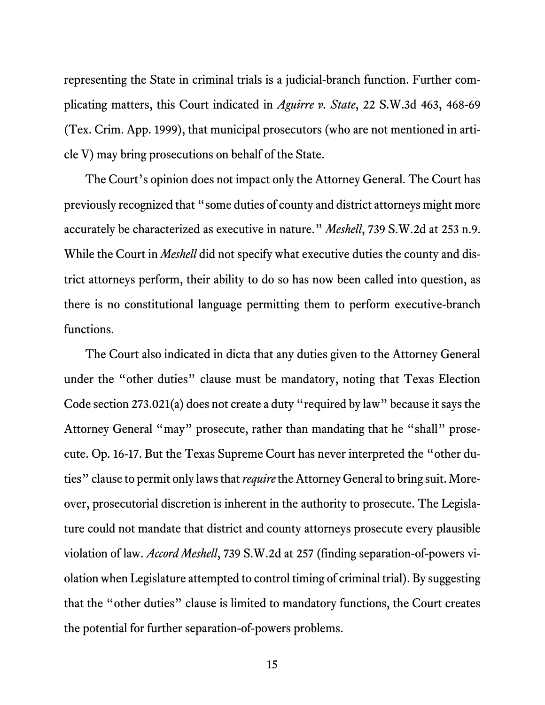<span id="page-19-2"></span><span id="page-19-0"></span>representing the State in criminal trials is a judicial-branch function. Further complicating matters, this Court indicated in *Aguirre v. State*, 22 S.W.3d 463, 468-69 (Tex. Crim. App. 1999), that municipal prosecutors (who are not mentioned in article V) may bring prosecutions on behalf of the State.

<span id="page-19-1"></span>The Court's opinion does not impact only the Attorney General. The Court has previously recognized that "some duties of county and district attorneys might more accurately be characterized as executive in nature." *Meshell*, 739 S.W.2d at 253 n.9. While the Court in *Meshell* did not specify what executive duties the county and district attorneys perform, their ability to do so has now been called into question, as there is no constitutional language permitting them to perform executive-branch functions.

<span id="page-19-3"></span>The Court also indicated in dicta that any duties given to the Attorney General under the "other duties" clause must be mandatory, noting that Texas Election Code section 273.021(a) does not create a duty "required by law" because it says the Attorney General "may" prosecute, rather than mandating that he "shall" prosecute. Op. 16-17. But the Texas Supreme Court has never interpreted the "other duties" clause to permit only laws that *require*the Attorney General to bring suit. Moreover, prosecutorial discretion is inherent in the authority to prosecute. The Legislature could not mandate that district and county attorneys prosecute every plausible violation of law. *Accord Meshell*, 739 S.W.2d at 257 (finding separation-of-powers violation when Legislature attempted to control timing of criminal trial). By suggesting that the "other duties" clause is limited to mandatory functions, the Court creates the potential for further separation-of-powers problems.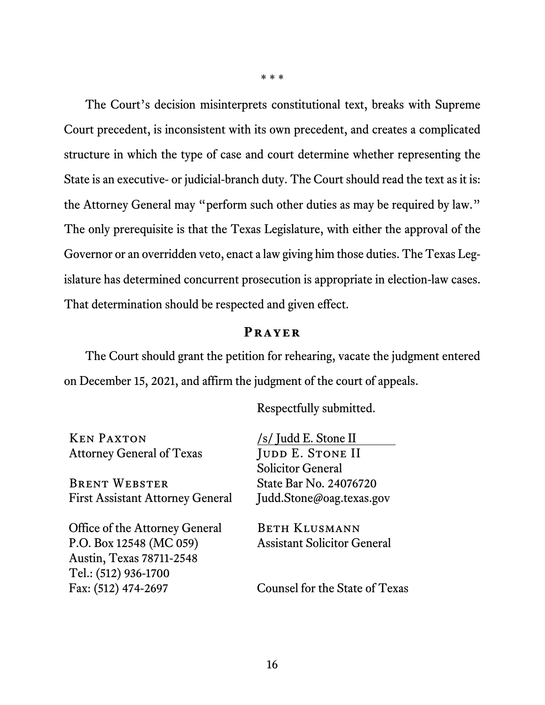The Court's decision misinterprets constitutional text, breaks with Supreme Court precedent, is inconsistent with its own precedent, and creates a complicated structure in which the type of case and court determine whether representing the State is an executive- or judicial-branch duty. The Court should read the text as it is: the Attorney General may "perform such other duties as may be required by law." The only prerequisite is that the Texas Legislature, with either the approval of the Governor or an overridden veto, enact a law giving him those duties. The Texas Legislature has determined concurrent prosecution is appropriate in election-law cases. That determination should be respected and given effect.

#### **Prayer**

<span id="page-20-0"></span>The Court should grant the petition for rehearing, vacate the judgment entered on December 15, 2021, and affirm the judgment of the court of appeals.

Respectfully submitted.

Ken Paxton Attorney General of Texas

Brent Webster First Assistant Attorney General

Office of the Attorney General P.O. Box 12548 (MC 059) Austin, Texas 78711-2548 Tel.: (512) 936-1700 Fax: (512) 474-2697

/s/ Judd E. Stone II JUDD E. STONE II Solicitor General State Bar No. 24076720 Judd.Stone@oag.texas.gov

Beth Klusmann Assistant Solicitor General

Counsel for the State of Texas